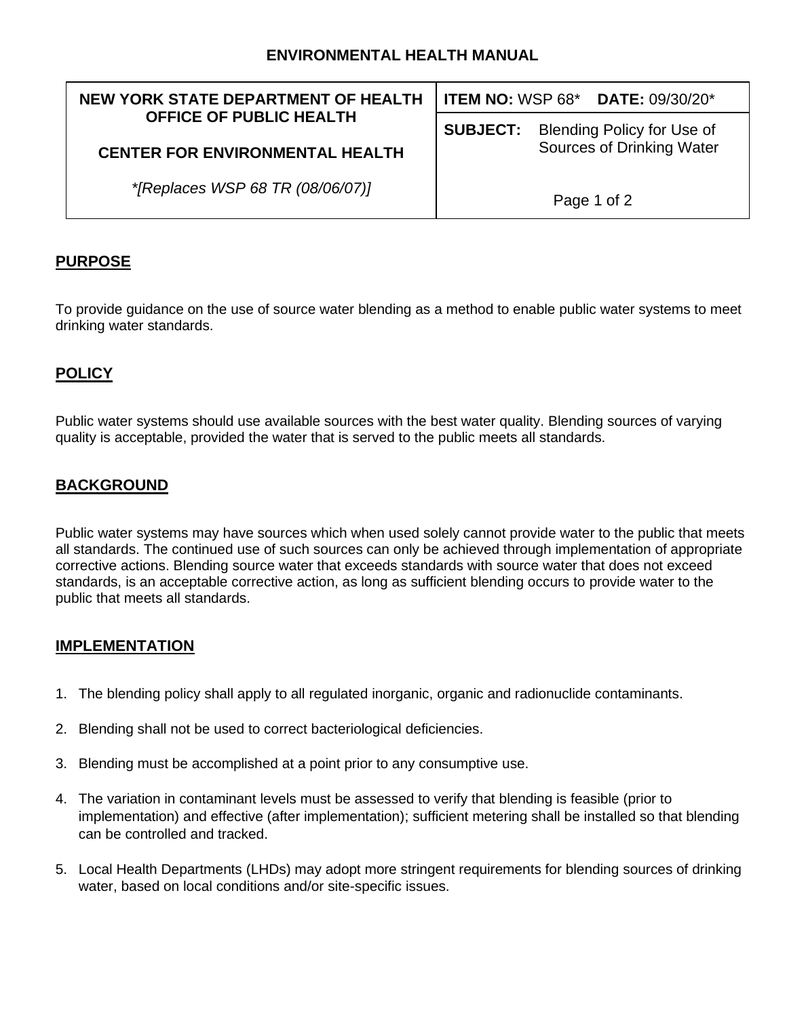## **ENVIRONMENTAL HEALTH MANUAL**

| NEW YORK STATE DEPARTMENT OF HEALTH<br><b>OFFICE OF PUBLIC HEALTH</b> | <b>ITEM NO: WSP 68* DATE: 09/30/20*</b> |                                            |
|-----------------------------------------------------------------------|-----------------------------------------|--------------------------------------------|
|                                                                       |                                         | <b>SUBJECT:</b> Blending Policy for Use of |
| <b>CENTER FOR ENVIRONMENTAL HEALTH</b>                                |                                         | Sources of Drinking Water                  |
| *[Replaces WSP 68 TR (08/06/07)]                                      |                                         | Page 1 of 2                                |

# **PURPOSE**

To provide guidance on the use of source water blending as a method to enable public water systems to meet drinking water standards.

## **POLICY**

Public water systems should use available sources with the best water quality. Blending sources of varying quality is acceptable, provided the water that is served to the public meets all standards.

## **BACKGROUND**

Public water systems may have sources which when used solely cannot provide water to the public that meets all standards. The continued use of such sources can only be achieved through implementation of appropriate corrective actions. Blending source water that exceeds standards with source water that does not exceed standards, is an acceptable corrective action, as long as sufficient blending occurs to provide water to the public that meets all standards.

### **IMPLEMENTATION**

- 1. The blending policy shall apply to all regulated inorganic, organic and radionuclide contaminants.
- 2. Blending shall not be used to correct bacteriological deficiencies.
- 3. Blending must be accomplished at a point prior to any consumptive use.
- 4. The variation in contaminant levels must be assessed to verify that blending is feasible (prior to implementation) and effective (after implementation); sufficient metering shall be installed so that blending can be controlled and tracked.
- 5. Local Health Departments (LHDs) may adopt more stringent requirements for blending sources of drinking water, based on local conditions and/or site-specific issues.